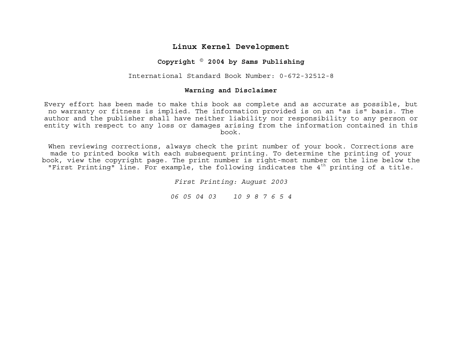## **Linux Kernel Development**

## **Copyright © 2004 by Sams Publishing**

International Standard Book Number: 0-672-32512-8

## **Warning and Disclaimer**

Every effort has been made to make this book as complete and as accurate as possible, but no warranty or fitness is implied. The information provided is on an "as is" basis. The author and the publisher shall have neither liability nor responsibility to any person or entity with respect to any loss or damages arising from the information contained in this book.

When reviewing corrections, always check the print number of your book. Corrections are made to printed books with each subsequent printing. To determine the printing of your book, view the copyright page. The print number is right-most number on the line below the "First Printing" line. For example, the following indicates the  $4<sup>th</sup>$  printing of a title.

*First Printing: August 2003*

*06 05 04 03 10 9 8 7 6 5 4*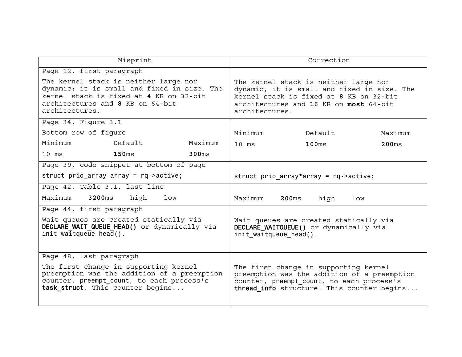| Misprint                                                                                                                                                                              |                                         |                              | Correction                                                                                                                                                                      |                   |         |
|---------------------------------------------------------------------------------------------------------------------------------------------------------------------------------------|-----------------------------------------|------------------------------|---------------------------------------------------------------------------------------------------------------------------------------------------------------------------------|-------------------|---------|
| Page 12, first paragraph                                                                                                                                                              |                                         |                              |                                                                                                                                                                                 |                   |         |
| The kernel stack is neither large nor<br>dynamic; it is small and fixed in size. The<br>kernel stack is fixed at 4 KB on 32-bit<br>architectures and 8 KB on 64-bit<br>architectures. |                                         | architectures.               | The kernel stack is neither large nor<br>dynamic; it is small and fixed in size. The<br>kernel stack is fixed at 8 KB on 32-bit<br>architectures and 16 KB on most 64-bit       |                   |         |
| Page 34, Figure 3.1                                                                                                                                                                   |                                         |                              |                                                                                                                                                                                 |                   |         |
| Bottom row of figure                                                                                                                                                                  |                                         |                              | Minimum                                                                                                                                                                         | Default           | Maximum |
| Minimum                                                                                                                                                                               | Default                                 | Maximum                      | $10$ $ms$                                                                                                                                                                       | 100 <sub>ms</sub> | 200ms   |
| $10$ ms                                                                                                                                                                               | 150 <sub>ms</sub>                       | 300 <sub>ms</sub>            |                                                                                                                                                                                 |                   |         |
|                                                                                                                                                                                       | Page 39, code snippet at bottom of page |                              |                                                                                                                                                                                 |                   |         |
| struct prio array array = $rq$ ->active;                                                                                                                                              |                                         |                              | struct prio array*array = $rq$ ->active;                                                                                                                                        |                   |         |
| Page 42, Table 3.1, last line                                                                                                                                                         |                                         |                              |                                                                                                                                                                                 |                   |         |
| Maximum<br>3200ms<br>high<br>1 <sub>ow</sub>                                                                                                                                          |                                         | Maximum<br>200 <sub>ms</sub> | high<br>low                                                                                                                                                                     |                   |         |
| Page 44, first paragraph                                                                                                                                                              |                                         |                              |                                                                                                                                                                                 |                   |         |
| Wait queues are created statically via<br>DECLARE WAIT QUEUE HEAD() or dynamically via<br>init waitqueue $head()$ .                                                                   |                                         | init_waitqueue head().       | Wait queues are created statically via<br>DECLARE WAITQUEUE() or dynamically via                                                                                                |                   |         |
| Paqe 48, last paragraph                                                                                                                                                               |                                         |                              |                                                                                                                                                                                 |                   |         |
| The first change in supporting kernel<br>preemption was the addition of a preemption<br>counter, preempt count, to each process's<br>task struct. This counter begins                 |                                         |                              | The first change in supporting kernel<br>preemption was the addition of a preemption<br>counter, preempt count, to each process's<br>thread info structure. This counter begins |                   |         |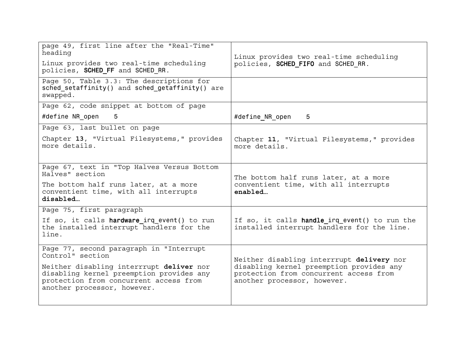| page 49, first line after the "Real-Time"<br>heading<br>Linux provides two real-time scheduling<br>policies, SCHED FF and SCHED RR.<br>Page 50, Table 3.3: The descriptions for<br>sched setaffinity() and sched getaffinity() are | Linux provides two real-time scheduling<br>policies, SCHED FIFO and SCHED RR.                                                                                  |  |
|------------------------------------------------------------------------------------------------------------------------------------------------------------------------------------------------------------------------------------|----------------------------------------------------------------------------------------------------------------------------------------------------------------|--|
| swapped.                                                                                                                                                                                                                           |                                                                                                                                                                |  |
| Page 62, code snippet at bottom of page                                                                                                                                                                                            |                                                                                                                                                                |  |
| #define NR open<br>5                                                                                                                                                                                                               | #define NR open<br>5                                                                                                                                           |  |
| Page 63, last bullet on page                                                                                                                                                                                                       |                                                                                                                                                                |  |
| Chapter 13, "Virtual Filesystems," provides<br>more details.                                                                                                                                                                       | Chapter 11, "Virtual Filesystems," provides<br>more details.                                                                                                   |  |
| Page 67, text in "Top Halves Versus Bottom<br>Halves" section                                                                                                                                                                      | The bottom half runs later, at a more<br>conventient time, with all interrupts<br>enabled                                                                      |  |
| The bottom half runs later, at a more<br>conventient time, with all interrupts<br>disabled                                                                                                                                         |                                                                                                                                                                |  |
| Page 75, first paragraph                                                                                                                                                                                                           |                                                                                                                                                                |  |
| If so, it calls hardware irq event() to run<br>the installed interrupt handlers for the<br>line.                                                                                                                                   | If so, it calls handle irq event() to run the<br>installed interrupt handlers for the line.                                                                    |  |
| Page 77, second paragraph in "Interrupt<br>Control" section                                                                                                                                                                        | Neither disabling interrrupt delivery nor<br>disabling kernel preemption provides any<br>protection from concurrent access from<br>another processor, however. |  |
| Neither disabling interrrupt deliver nor<br>disabling kernel preemption provides any<br>protection from concurrent access from<br>another processor, however.                                                                      |                                                                                                                                                                |  |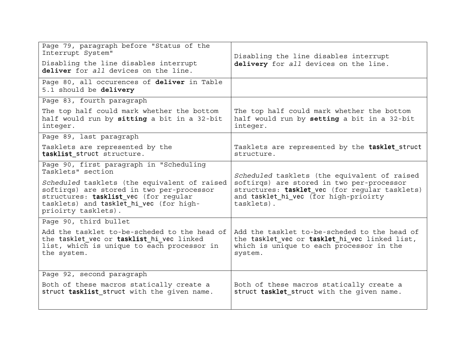| Page 79, paragraph before "Status of the<br>Interrupt System"<br>Disabling the line disables interrupt<br>deliver for all devices on the line.                                                       | Disabling the line disables interrupt<br>delivery for all devices on the line.                                                                                                                     |  |
|------------------------------------------------------------------------------------------------------------------------------------------------------------------------------------------------------|----------------------------------------------------------------------------------------------------------------------------------------------------------------------------------------------------|--|
| Page 80, all occurences of deliver in Table<br>5.1 should be delivery                                                                                                                                |                                                                                                                                                                                                    |  |
| Page 83, fourth paragraph                                                                                                                                                                            |                                                                                                                                                                                                    |  |
| The top half could mark whether the bottom<br>half would run by sitting a bit in a 32-bit<br>integer.                                                                                                | The top half could mark whether the bottom<br>half would run by setting a bit in a 32-bit<br>integer.                                                                                              |  |
| Page 89, last paragraph                                                                                                                                                                              |                                                                                                                                                                                                    |  |
| Tasklets are represented by the<br>tasklist struct structure.                                                                                                                                        | Tasklets are represented by the tasklet struct<br>structure.                                                                                                                                       |  |
| Page 90, first paragraph in "Scheduling<br>Tasklets" section                                                                                                                                         | Scheduled tasklets (the equivalent of raised<br>softirgs) are stored in two per-processor<br>structures: tasklet vec (for reqular tasklets)<br>and tasklet hi vec (for high-prioirty<br>tasklets). |  |
| Scheduled tasklets (the equivalent of raised<br>softirgs) are stored in two per-processor<br>structures: tasklist_vec (for regular<br>tasklets) and tasklet hi vec (for high-<br>prioirty tasklets). |                                                                                                                                                                                                    |  |
| Page 90, third bullet                                                                                                                                                                                |                                                                                                                                                                                                    |  |
| Add the tasklet to-be-scheded to the head of<br>the tasklet vec or tasklist hi vec linked<br>list, which is unique to each processor in<br>the system.                                               | Add the tasklet to-be-scheded to the head of<br>the tasklet vec or tasklet hi vec linked list,<br>which is unique to each processor in the<br>system.                                              |  |
| Page 92, second paragraph                                                                                                                                                                            |                                                                                                                                                                                                    |  |
| Both of these macros statically create a<br>struct tasklist struct with the given name.                                                                                                              | Both of these macros statically create a<br>struct tasklet struct with the given name.                                                                                                             |  |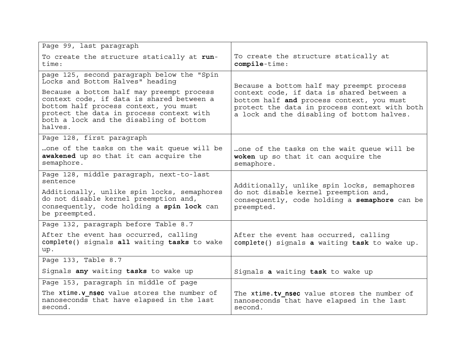| Page 99, last paragraph                                                                                                                                                                                                           |                                                                                                                                                                                       |  |
|-----------------------------------------------------------------------------------------------------------------------------------------------------------------------------------------------------------------------------------|---------------------------------------------------------------------------------------------------------------------------------------------------------------------------------------|--|
| To create the structure statically at run-<br>time:                                                                                                                                                                               | To create the structure statically at<br>compile-time:                                                                                                                                |  |
| page 125, second paragraph below the "Spin<br>Locks and Bottom Halves" heading                                                                                                                                                    | Because a bottom half may preempt process                                                                                                                                             |  |
| Because a bottom half may preempt process<br>context code, if data is shared between a<br>bottom half process context, you must<br>protect the data in process context with<br>both a lock and the disabling of bottom<br>halves. | context code, if data is shared between a<br>bottom half and process context, you must<br>protect the data in process context with both<br>a lock and the disabling of bottom halves. |  |
| Page 128, first paragraph                                                                                                                                                                                                         |                                                                                                                                                                                       |  |
| one of the tasks on the wait queue will be<br>awakened up so that it can acquire the<br>semaphore.                                                                                                                                | one of the tasks on the wait queue will be<br>woken up so that it can acquire the<br>semaphore.                                                                                       |  |
| Page 128, middle paragraph, next-to-last<br>sentence                                                                                                                                                                              | Additionally, unlike spin locks, semaphores<br>do not disable kernel preemption and,<br>consequently, code holding a semaphore can be<br>preempted.                                   |  |
| Additionally, unlike spin locks, semaphores<br>do not disable kernel preemption and,<br>consequently, code holding a spin lock can<br>be preempted.                                                                               |                                                                                                                                                                                       |  |
| Page 132, paragraph before Table 8.7                                                                                                                                                                                              |                                                                                                                                                                                       |  |
| After the event has occurred, calling<br>complete() signals all waiting tasks to wake<br>up.                                                                                                                                      | After the event has occurred, calling<br>complete() signals a waiting task to wake up.                                                                                                |  |
| Page 133, Table 8.7                                                                                                                                                                                                               |                                                                                                                                                                                       |  |
| Signals any waiting tasks to wake up                                                                                                                                                                                              | Signals a waiting task to wake up                                                                                                                                                     |  |
| Page 153, paragraph in middle of page                                                                                                                                                                                             |                                                                                                                                                                                       |  |
| The xtime. <b>v</b> nsec value stores the number of<br>nanoseconds that have elapsed in the last<br>second.                                                                                                                       | The xtime.tv nsec value stores the number of<br>nanoseconds that have elapsed in the last<br>second.                                                                                  |  |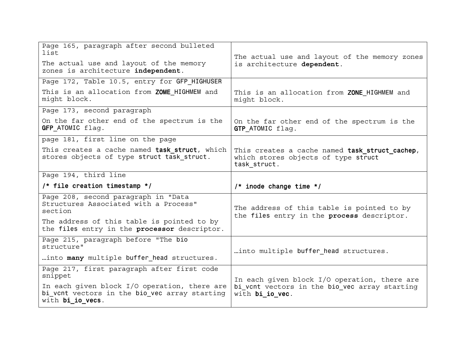| Page 165, paragraph after second bulleted<br>list                                                                 | The actual use and layout of the memory zones                                                         |  |
|-------------------------------------------------------------------------------------------------------------------|-------------------------------------------------------------------------------------------------------|--|
| The actual use and layout of the memory<br>zones is architecture independent.                                     | is architecture dependent.                                                                            |  |
| Page 172, Table 10.5, entry for GFP HIGHUSER                                                                      |                                                                                                       |  |
| This is an allocation from ZOME_HIGHMEM and<br>might block.                                                       | This is an allocation from ZONE HIGHMEM and<br>might block.                                           |  |
| Page 173, second paragraph                                                                                        |                                                                                                       |  |
| On the far other end of the spectrum is the<br>GFP ATOMIC flag.                                                   | On the far other end of the spectrum is the<br>GTP ATOMIC flag.                                       |  |
| page 181, first line on the page                                                                                  |                                                                                                       |  |
| This creates a cache named task struct, which<br>stores objects of type struct task struct.                       | This creates a cache named task struct cachep,<br>which stores objects of type struct<br>task_struct. |  |
| Page 194, third line                                                                                              |                                                                                                       |  |
| $/*$ file creation timestamp $*/$                                                                                 | $/*$ inode change time $*/$                                                                           |  |
| Page 208, second paragraph in "Data<br>Structures Associated with a Process"<br>section                           | The address of this table is pointed to by<br>the files entry in the process descriptor.              |  |
| The address of this table is pointed to by<br>the files entry in the processor descriptor.                        |                                                                                                       |  |
| Page 215, paragraph before "The bio<br>structure"                                                                 | into multiple buffer head structures.                                                                 |  |
| into many multiple buffer head structures.                                                                        |                                                                                                       |  |
| Page 217, first paragraph after first code<br>snippet                                                             | In each given block I/O operation, there are                                                          |  |
| In each given block I/O operation, there are<br>bi vont vectors in the bio vec array starting<br>with bi io vecs. | bi vcnt vectors in the bio_vec array starting<br>with bi io vec.                                      |  |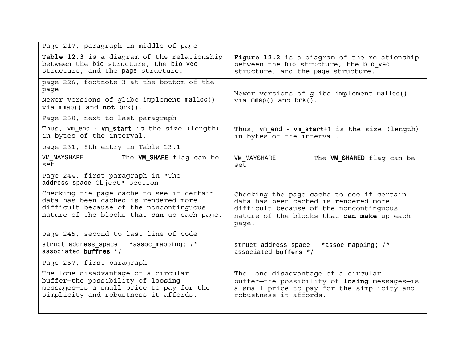| Page 217, paragraph in middle of page                                                                                                                                        |                                                                                                                                                                                      |  |
|------------------------------------------------------------------------------------------------------------------------------------------------------------------------------|--------------------------------------------------------------------------------------------------------------------------------------------------------------------------------------|--|
| Table 12.3 is a diagram of the relationship<br>between the bio structure, the bio vec<br>structure, and the page structure.                                                  | Figure 12.2 is a diagram of the relationship<br>between the bio structure, the bio vec<br>structure, and the page structure.                                                         |  |
| page 226, footnote 3 at the bottom of the<br>page<br>Newer versions of glibc implement malloc()<br>via $mmap()$ and not $brk()$ .                                            | Newer versions of glibc implement malloc()<br>$via \text{mmap}()$ and $brk()$ .                                                                                                      |  |
| Page 230, next-to-last paragraph                                                                                                                                             |                                                                                                                                                                                      |  |
| Thus, vm end - vm start is the size (length)<br>in bytes of the interval.                                                                                                    | Thus, vm end - vm start+1 is the size (length)<br>in bytes of the interval.                                                                                                          |  |
| page 231, 8th entry in Table 13.1                                                                                                                                            |                                                                                                                                                                                      |  |
| <b>VM MAYSHARE</b><br>The VM SHARE flag can be<br>set                                                                                                                        | <b>VM MAYSHARE</b><br>The VM_SHARED flag can be<br>set                                                                                                                               |  |
| Page 244, first paragraph in "The<br>address space Object" section                                                                                                           |                                                                                                                                                                                      |  |
| Checking the page cache to see if certain<br>data has been cached is rendered more<br>difficult because of the noncontinguous<br>nature of the blocks that can up each page. | Checking the page cache to see if certain<br>data has been cached is rendered more<br>difficult because of the noncontinguous<br>nature of the blocks that can make up each<br>page. |  |
| page 245, second to last line of code                                                                                                                                        |                                                                                                                                                                                      |  |
| struct address space *assoc mapping; /*<br>associated buffres $*/$                                                                                                           | struct address space<br>*assoc mapping; /*<br>associated buffers $*/$                                                                                                                |  |
| Page 257, first paragraph                                                                                                                                                    |                                                                                                                                                                                      |  |
| The lone disadvantage of a circular<br>buffer-the possibility of loosing<br>messages-is a small price to pay for the<br>simplicity and robustness it affords.                | The lone disadvantage of a circular<br>buffer-the possibility of losing messages-is<br>a small price to pay for the simplicity and<br>robustness it affords.                         |  |